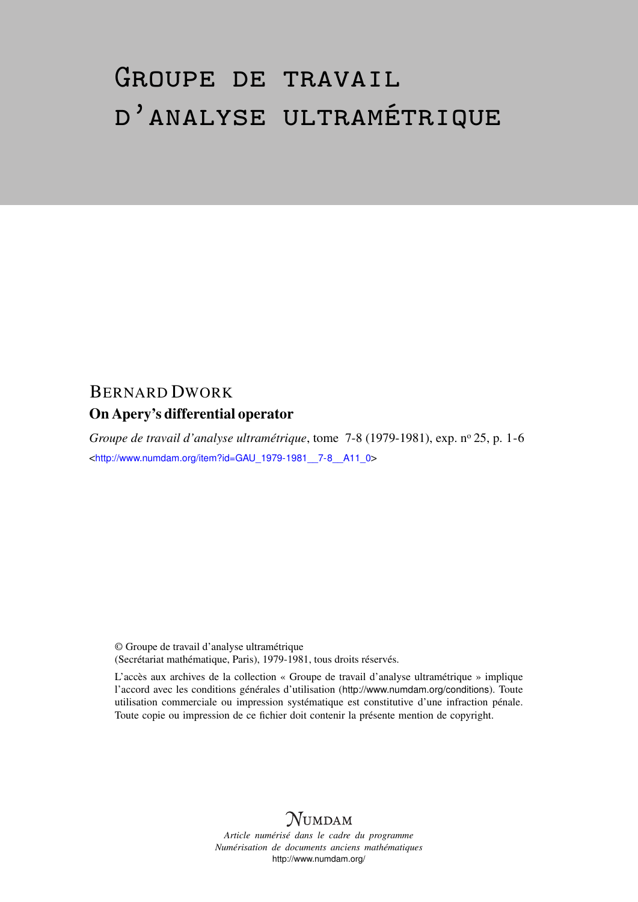## Groupe de travail d'analyse ultramétrique

## BERNARD DWORK On Apery's differential operator

*Groupe de travail d'analyse ultramétrique*, tome 7-8 (1979-1981), exp. nº 25, p. 1-6 <[http://www.numdam.org/item?id=GAU\\_1979-1981\\_\\_7-8\\_\\_A11\\_0](http://www.numdam.org/item?id=GAU_1979-1981__7-8__A11_0)>

© Groupe de travail d'analyse ultramétrique (Secrétariat mathématique, Paris), 1979-1981, tous droits réservés.

L'accès aux archives de la collection « Groupe de travail d'analyse ultramétrique » implique l'accord avec les conditions générales d'utilisation (<http://www.numdam.org/conditions>). Toute utilisation commerciale ou impression systématique est constitutive d'une infraction pénale. Toute copie ou impression de ce fichier doit contenir la présente mention de copyright.



*Article numérisé dans le cadre du programme Numérisation de documents anciens mathématiques* <http://www.numdam.org/>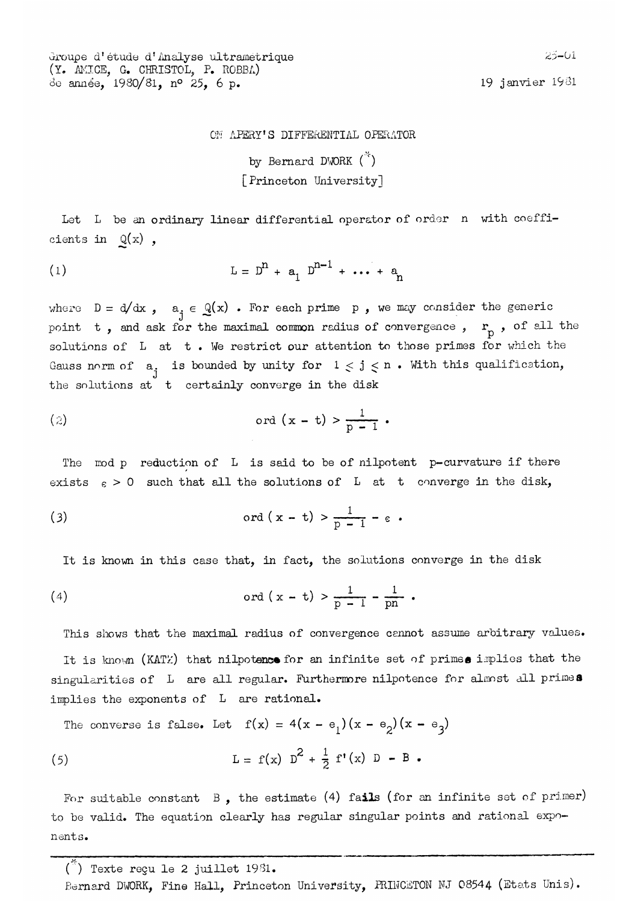Groupe d'étude d'Analyse ultrametrique (Y. AMICE, G. CHRISTOL, P. ROBBA) 60 1980/81, n° 25, 6 p. 19 janvier 1981

## ON APERY'S DIFFERENTIAL OPERATOR

by Bernard DWORK  $\binom{36}{1}$ [Princeton University]

Let L be an ordinary linear differential operator of order n with coefficients in  $Q(x)$ ,

(1) 
$$
L = D^{n} + a_{1} D^{n-1} + \cdots + a_{n}
$$

where  $D = d/dx$ ,  $a_i \in Q(x)$ . For each prime p, we may consider the generic point t, and ask for the maximal common radius of convergence,  $r_p$ , of all the solutions of  $L$  at  $t$ . We restrict our attention to those primes for which the Gauss norm of  $\begin{array}{cc} \mathtt{a}, & \mathtt{is} \end{array}$  bounded by unity for  $\begin{array}{cc} 1 < \mathtt{j} < n$  . With this qualification, the solutions at t certainly converge in the disk

(2) 
$$
\operatorname{ord}(x - t) > \frac{1}{p - 1}
$$

The mod p reduction of L is said to be of nilpotent p-curvature if there exists  $\varepsilon > 0$  such that all the solutions of L at t converge in the disk,

(3) 
$$
\operatorname{ord}(x-t) > \frac{1}{p-1} - \varepsilon.
$$

It is known in this case that, in fact, the solutions converge in the disk

(4) 
$$
\text{ord}(x - t) > \frac{1}{p - 1} - \frac{1}{pn}
$$

This shows that the maximal radius of convergence cennot assume arbitrary values. It is known (KATZ) that nilpotence for an infinite set of primes implies that the singularities of L are all regular. Furthermore nilpotence for almost all primes implies the exponents of L are rational.

The converse is false. Let  $f(x) = 4(x - e_1)(x - e_2)(x - e_3)$ 

(5) 
$$
L = f(x) D^2 + \frac{1}{2} f'(x) D - B
$$

For suitable constant  $B$ , the estimate (4) fails (for an infinite set of primer) to be valid. The equation clearly has regular singular points and rational exponents.

 $\binom{1}{1}$  Texte reçu le 2 juillet 1981.

Bernard DWORK, Fine Hall, Princeton University, PRINCETON NJ 08544 (Etats Unis).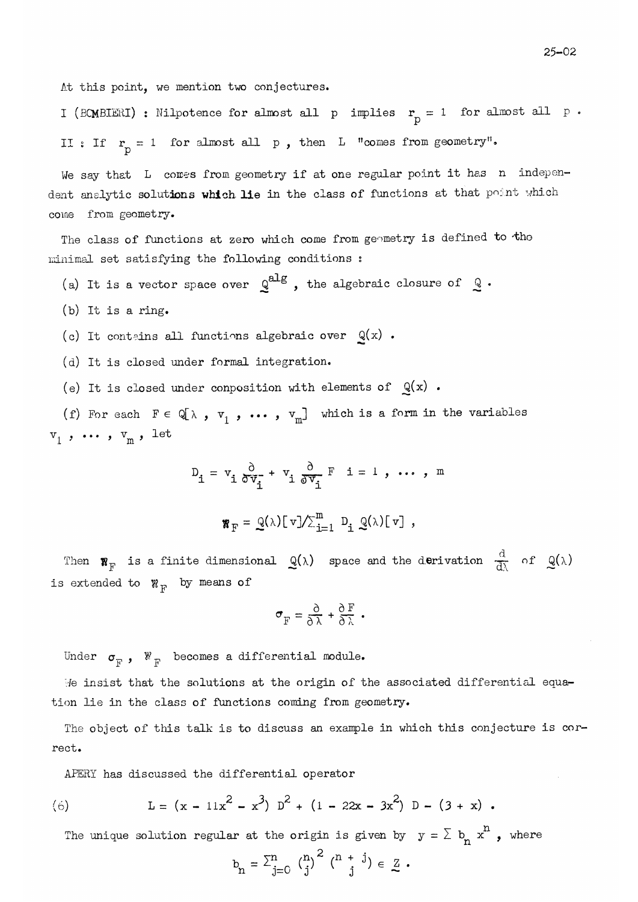At this point, we mention two conjectures.

I (BCMBIERI) : Nilpotence for almost all p implies  $\mathbf{r}_{\text{p}} = 1$  for almost all p  $\boldsymbol{\cdot}$ : If  $r_p = 1$  for almost all p, then L "comes from geometry".

We say that  $L$  cores from geometry if at one regular point it has n independent analytic solutions which lie in the class of functions at that point which come from geometry.

The class of functions at zero which come from geometry is defined to the minimal set satisfying the following conditions :

- (a) It is a vector space over  $\mathbb{Q}^{alg}$ , the algebraic closure of  $\mathbb{Q}$ .
- (b) It is a ring.
- (c) It contains all functions algebraic over  $Q(x)$ .
- (d) It is closed under formal integration.
- (e) It is closed under conposition with elements of  $Q(x)$ .

(f) For each  $F \in \mathbb{Q}[\lambda, v_1, \ldots, v_m]$  which is a form in the variables  $\mathbf{v}_1$  ,  $\cdots$  ,  $\mathbf{v}_\mathrm{m}$  , let

$$
D_{i} = v_{i} \frac{\partial}{\partial v_{i}} + v_{i} \frac{\partial}{\partial v_{i}} F i = 1, ..., m
$$

$$
\mathbf{w}_{\mathrm{F}} = \mathbf{Q}(\lambda) [\mathbf{v}] / \sum_{i=1}^m D_i \mathbf{Q}(\lambda) [\mathbf{v}],
$$

Then  $\mathbf{W}_{\mathrm{F}}$  is a finite dimensional  $\mathcal{Q}(\lambda)$  space and the derivation  $\frac{d}{d\lambda}$  of  $\mathcal{Q}(\lambda)$ is extended to  $\mathcal{W}_{F}$  by means of

$$
\sigma_{\rm F} = \frac{\partial}{\partial \lambda} + \frac{\partial F}{\partial \lambda} .
$$

Under  $\sigma_{\overline{F}}$ ,  $\mathbb{W}_{\overline{F}}$  becomes a differential module.

insist that the solutions at the origin of the associated differential equation lie in the class of functions coming from geometry.

The object of this talk is to discuss an example in which this conjecture is correct.

APERY has discussed the differential operator

(6) 
$$
L = (x - 11x^{2} - x^{3}) D^{2} + (1 - 22x - 3x^{2}) D - (3 + x).
$$

The unique solution regular at the origin is given by  $y = \sum b_n x^n$ , where

$$
b_n = \sum_{j=0}^{n} {n \choose j}^2 {n + j \choose j} \in \mathbb{Z}
$$
.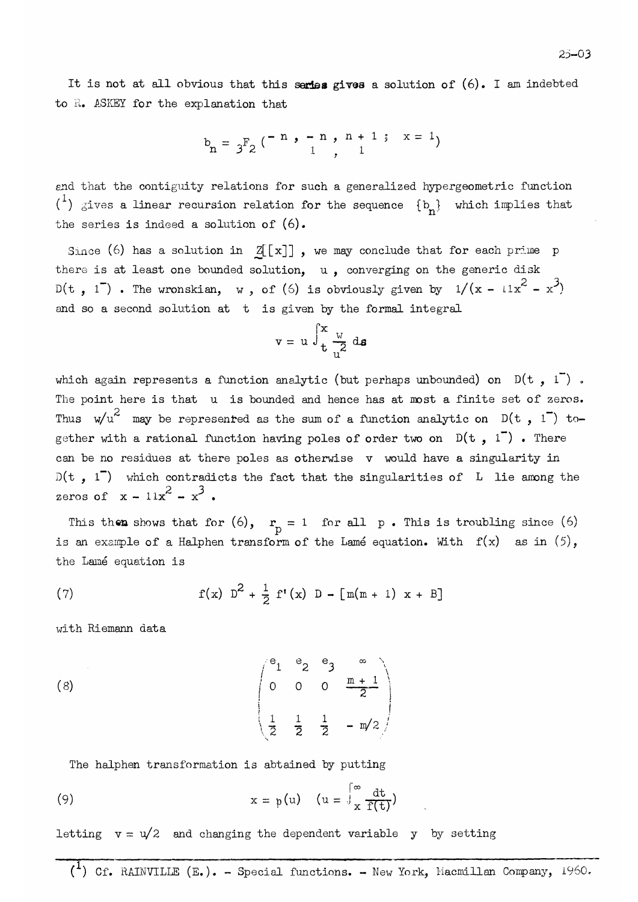It is not at all obvious that this series gives a solution of  $(6)$ . I am indebted to R. ASKEY for the explanation that

$$
b_n = \frac{1}{3} F_2 \begin{pmatrix} -n & 1 - n & 1 + 1 & 1 + 1 \\ 1 & 1 & 1 \end{pmatrix} \quad x = 1
$$

and that the contiguity relations for such a generalized hypergeometric function  $(1)$  gives a linear recursion relation for the sequence  $\{b_n\}$  which implies that the series is indeed a solution of  $(6)$ .

Since (6) has a solution in  $Z[[x]]$ , we may conclude that for each prime p there is at least one bounded solution,  $u$ , converging on the generic disk D(t, 1). The wronskian, w, of (6) is obviously given by  $1/(x - 11x^2 - x^3)$ and so a second solution at t is given by the formal integral

$$
\mathbf{v} = \mathbf{u} \int_{\mathbf{t}}^{x} \frac{w}{a^2} \, \mathrm{d} \mathbf{s}
$$

which again represents a function analytic (but perhaps unbounded) on  $D(t, 1)$ . The point here is that u is bounded and hence has at most a finite set of zeros. Thus  $w/u^2$  may be represented as the sum of a function analytic on  $D(t, 1)$  together with a rational function having poles of order two on  $D(t, 1)$ . There can be no residues at there poles as otherwise v would have a singularity in  $D(t, 1^-)$  which contradicts the fact that the singularities of L lie among the zeros of  $x - 11x^2 - x^3$ .

This then shows that for (6),  $r_p = 1$  for all p. This is troubling since (6) is an example of a Halphen transform of the Lamé equation. With  $f(x)$  as in  $(5)$ , the Lamé equation is

(7) 
$$
f(x) D^2 + \frac{1}{2} f'(x) D - [m(m + 1) x + B]
$$

with Riemann àata

(8) 
$$
\begin{pmatrix} e_1 & e_2 & e_3 & \infty \\ 0 & 0 & 0 & \frac{m+1}{2} \\ \frac{1}{2} & \frac{1}{2} & \frac{1}{2} & -m/2 \end{pmatrix}
$$

The halphen transformation is abtained by putting

(9) 
$$
x = p(u) \quad (u = \int_{x}^{\infty} \frac{dt}{f(t)})
$$

letting  $v = u/2$  and changing the dependent variable y by setting

(<sup>1</sup>) Cf. RAINVILLE (E.). - Special functions. - New York, Macmillan Company, 1960.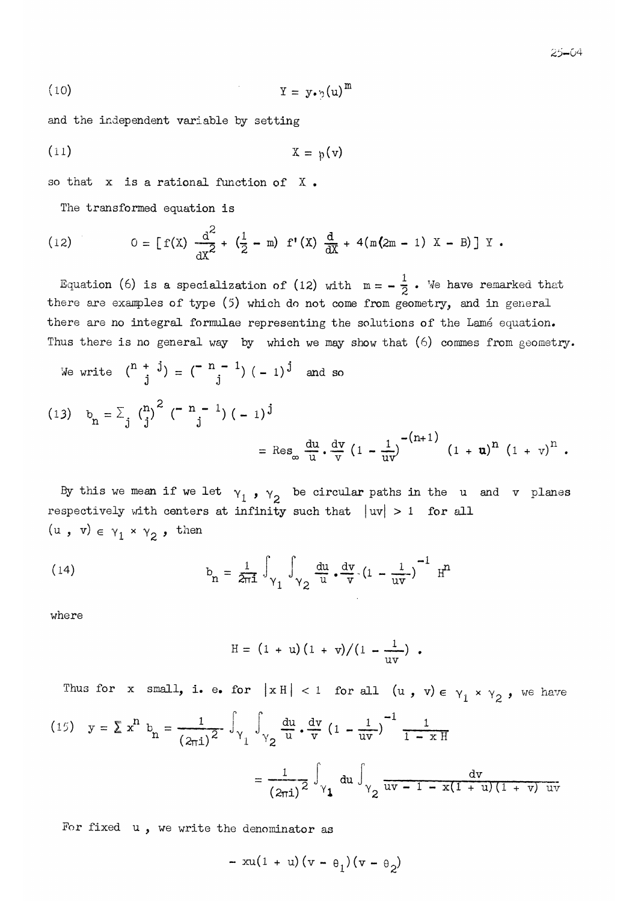$$
(10) \t\t\t Y = y \cdot \gamma(u)^{m}
$$

and the independent variable by setting

$$
(11) \t\t\t X = p(v)
$$

so that x is a rational function of X.

The transformed equation is

(12) 
$$
0 = [f(X) \frac{d^{2}}{dX^{2}} + (\frac{1}{2} - m) f'(X) \frac{d}{dX} + 4(m(2m - 1) X - B)] Y.
$$

Equation (6) is a specialization of (12) with  $m = -\frac{1}{2}$ . We have remarked that there are examples of type  $(5)$  which do not come from geometry, and in general there are no integral formulae representing the solutions of the Lamé equation. Thus there is no general way by which we may show that  $(6)$  commes from geometry.

We write  $\binom{n + j}{j} = \binom{-n - 1}{j} (-1)^j$  and so

(13) 
$$
b_n = \sum_j {n \choose j}^2 (-n-1) (-1)^j
$$
  

$$
= \text{Res}_{\infty} \frac{du}{u} \cdot \frac{dv}{v} (1 - \frac{1}{uv})^{-(n+1)} (1 + u)^n (1 + v)^n.
$$

By this we mean if we let  $v_1$ ,  $v_2$  be circular paths in the u and v planes respectively with centers at infinity such that  $|uv| > 1$  for all  $(u, v) \in \gamma_1 \times \gamma_2$ , then

(14) 
$$
b_n = \frac{1}{2\pi i} \int_{\gamma_1} \int_{\gamma_2} \frac{du}{u} \cdot \frac{dv}{v} (1 - \frac{1}{uv})^{-1} H^n
$$

where

$$
H = (1 + u)(1 + v)/(1 - \frac{1}{uv})
$$

Thus for x small, i. e. for  $|x H| < 1$  for all  $(u, v) \in \gamma_1 \times \gamma_2$ , we have (15)  $y = \sum x^{n} b_{n} = \frac{1}{(2\pi i)^{2}} \int_{\gamma_{1}} \int_{\gamma_{2}} \frac{du}{u} \cdot \frac{dv}{v} (1 - \frac{1}{uv})^{-1} \frac{1}{1 - xH}$  $=\frac{1}{(2\pi i)^2}\int_{\gamma_1} du \int_{\gamma_2} \frac{dv}{uv-1-x(1+u)(1+v)uv}$ 

For fixed  $u$ , we write the denominator as

$$
- xu(1 + u)(v - \theta_1)(v - \theta_2)
$$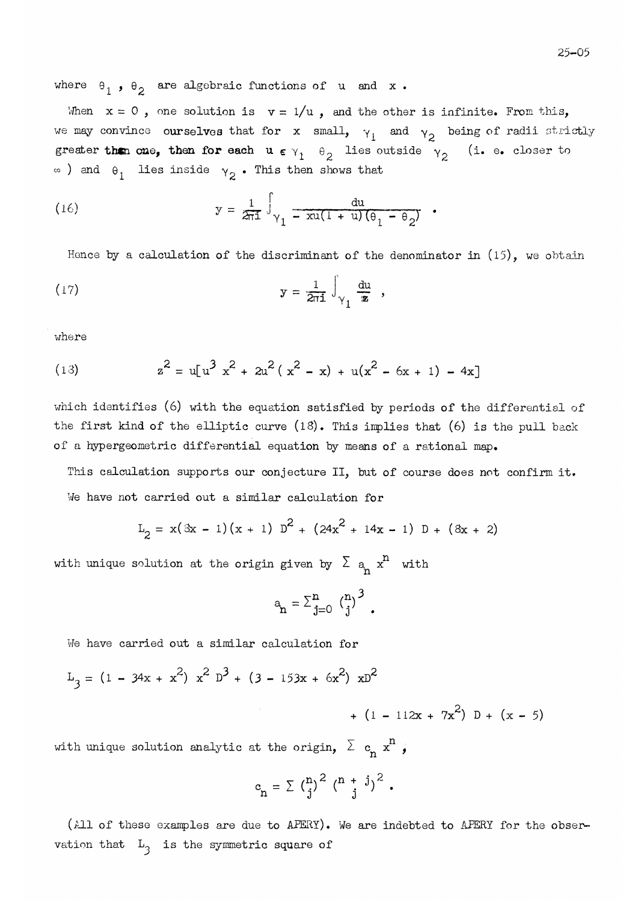where  $\theta_1$ ,  $\theta_2$  are algebraic functions of u and x.

When  $x = 0$ , one solution is  $v = 1/u$ , and the other is infinite. From this, we may convince ourselves that for x small,  $\gamma_1$  and  $\gamma_2$  being of radii strictly greater then one, then for each  $u \in \gamma_1 - \theta_2$  lies outside  $v_2$  (i. e. closer to  $\infty$ ) and  $\theta_1$  lies inside  $\gamma_2$ . This then shows that

(16) 
$$
y = \frac{1}{2\pi i} \int_{\gamma_1} \frac{du}{-xu(1+u)(\theta_1 - \theta_2)},
$$

Hence by a calculation of the discriminant of the denominator in  $(15)$ , we obtain

(17) 
$$
y = \frac{1}{2\pi i} \int_{\gamma_1} \frac{du}{z},
$$

where

(13) 
$$
z^2 = u[u^3 x^2 + 2u^2(x^2 - x) + u(x^2 - 6x + 1) - 4x]
$$

which identifies (6) with the equation satisfied by periods of the differential of the first kind of the elliptic curve  $(18)$ . This implies that  $(6)$  is the pull back of a hypergeometric differential équation by means of a rational map.

This calculation supports our conjecture II, but of course does not confirm it. We have not carried out a similar calculation for

$$
L_2 = x(3x - 1)(x + 1) D2 + (24x2 + 14x - 1) D + (3x + 2)
$$

with unique solution at the origin given by  $\sum a_n x^n$  with

$$
a_n = \sum_{j=0}^{n} {n \choose j}^3
$$
.

have carried out a similar calculation for

$$
L_3 = (1 - 34x + x^2) x^2 D^3 + (3 - 153x + 6x^2) xD^2
$$
  
+ (1 - 112x + 7x<sup>2</sup>) D + (x - 5)

with unique solution analytic at the origin,  $\lambda$  c<sub>n</sub>  $\text{x}^{\text{+}}$  ,

$$
c_{n} = \sum_{j} {n \choose j}^{2} {n+j \choose j}^{2}.
$$

(All of these examples are due to APERY). We are indebted to APERY for the observation that  $L_3$  is the symmetric square of